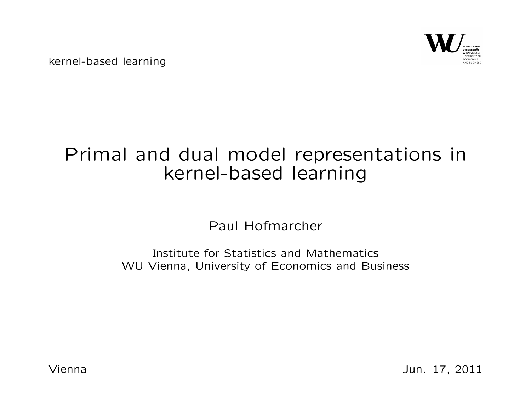

# Primal and dual model representations in kernel-based learning

Paul Hofmarcher

Institute for Statistics and Mathematics WU Vienna, University of Economics and Business

Vienna Jun. 17, 2011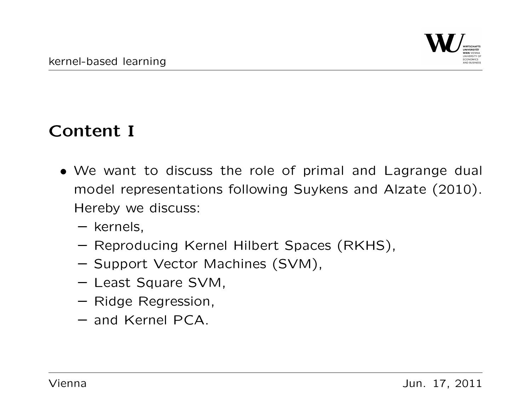#### Content I

- We want to discuss the role of primal and Lagrange dual model representations following Suykens and Alzate (2010). Hereby we discuss:
	- kernels,
	- Reproducing Kernel Hilbert Spaces (RKHS),
	- Support Vector Machines (SVM),
	- Least Square SVM,
	- Ridge Regression,
	- and Kernel PCA.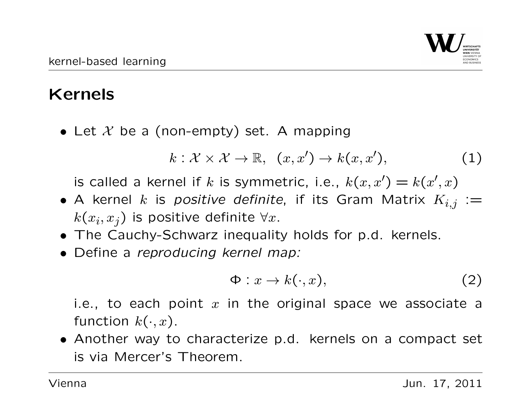## Kernels

• Let  $X$  be a (non-empty) set. A mapping

$$
k: \mathcal{X} \times \mathcal{X} \to \mathbb{R}, \ \ (x, x') \to k(x, x'), \qquad \qquad (1)
$$

is called a kernel if k is symmetric, i.e.,  $k(x, x') = k(x', x)$ 

- A kernel k is positive definite, if its Gram Matrix  $K_{i,j} :=$  $k(x_i, x_j)$  is positive definite  $\forall x.$
- The Cauchy-Schwarz inequality holds for p.d. kernels.
- Define a reproducing kernel map:

$$
\Phi: x \to k(\cdot, x), \tag{2}
$$

i.e., to each point  $x$  in the original space we associate a function  $k(\cdot, x)$ .

• Another way to characterize p.d. kernels on a compact set is via Mercer's Theorem.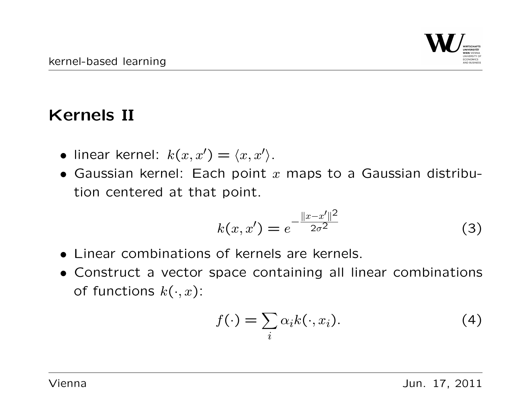#### Kernels II

- linear kernel:  $k(x, x') = \langle x, x' \rangle$ .
- Gaussian kernel: Each point  $x$  maps to a Gaussian distribution centered at that point.

$$
k(x, x') = e^{-\frac{||x - x'||^2}{2\sigma^2}}
$$
 (3)

- Linear combinations of kernels are kernels.
- Construct a vector space containing all linear combinations of functions  $k(\cdot, x)$ :

$$
f(\cdot) = \sum_{i} \alpha_i k(\cdot, x_i). \tag{4}
$$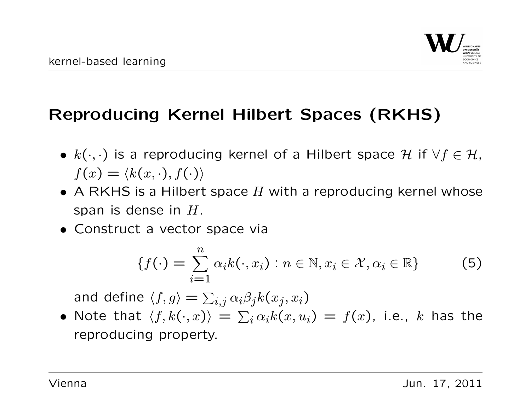

## Reproducing Kernel Hilbert Spaces (RKHS)

- $k(\cdot, \cdot)$  is a reproducing kernel of a Hilbert space H if  $\forall f \in \mathcal{H}$ ,  $f(x) = \langle k(x, \cdot), f(\cdot) \rangle$
- A RKHS is a Hilbert space  $H$  with a reproducing kernel whose span is dense in  $H$ .
- Construct a vector space via

$$
\{f(\cdot) = \sum_{i=1}^{n} \alpha_i k(\cdot, x_i) : n \in \mathbb{N}, x_i \in \mathcal{X}, \alpha_i \in \mathbb{R}\}
$$
 (5)

and define  $\langle f, g\rangle = \sum_{i,j} \alpha_i\beta_j k(x_j, x_i)$ 

 $\bullet$  Note that  $\langle f, k(\cdot, x) \rangle = \sum_i \alpha_i k(x, u_i) = f(x)$ , i.e.,  $k$  has the reproducing property.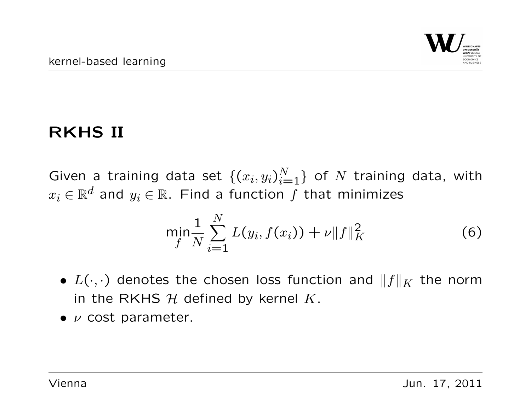# RKHS II

Given a training data set  $\{(x_i, y_i)_{i=1}^N\}$  of  $N$  training data, with  $x_i \in \mathbb{R}^d$  and  $y_i \in \mathbb{R}$ . Find a function f that minimizes

$$
\min_{f} \frac{1}{N} \sum_{i=1}^{N} L(y_i, f(x_i)) + \nu \|f\|_{K}^{2}
$$
 (6)

- $L(\cdot, \cdot)$  denotes the chosen loss function and  $||f||_K$  the norm in the RKHS  $H$  defined by kernel K.
- $\bullet$   $\nu$  cost parameter.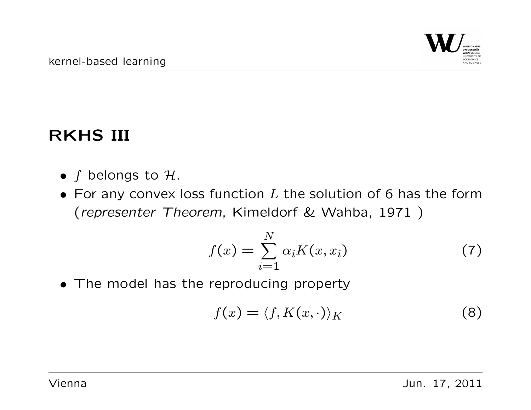## RKHS III

- $f$  belongs to  $H$ .
- For any convex loss function  $L$  the solution of 6 has the form (representer Theorem, Kimeldorf & Wahba, 1971 )

$$
f(x) = \sum_{i=1}^{N} \alpha_i K(x, x_i)
$$
 (7)

• The model has the reproducing property

$$
f(x) = \langle f, K(x, \cdot) \rangle_K \tag{8}
$$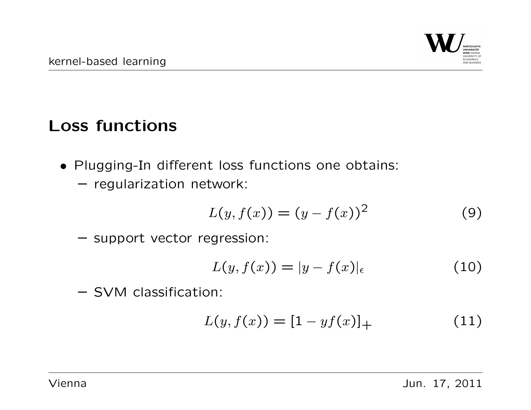# Loss functions

- Plugging-In different loss functions one obtains:
	- regularization network:

$$
L(y, f(x)) = (y - f(x))^2
$$
 (9)

– support vector regression:

$$
L(y, f(x)) = |y - f(x)|_{\epsilon}
$$
 (10)

– SVM classification:

$$
L(y, f(x)) = [1 - yf(x)]_{+}
$$
 (11)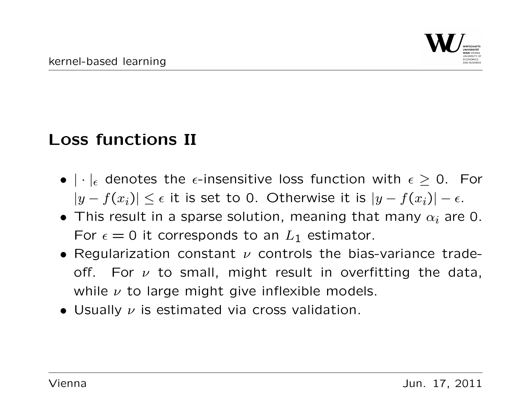#### Loss functions II

- $|\cdot|_{\epsilon}$  denotes the  $\epsilon$ -insensitive loss function with  $\epsilon \geq 0$ . For  $|y - f(x_i)| \leq \epsilon$  it is set to 0. Otherwise it is  $|y - f(x_i)| - \epsilon$ .
- This result in a sparse solution, meaning that many  $\alpha_i$  are 0. For  $\epsilon = 0$  it corresponds to an  $L_1$  estimator.
- Regularization constant  $\nu$  controls the bias-variance tradeoff. For  $\nu$  to small, might result in overfitting the data, while  $\nu$  to large might give inflexible models.
- Usually  $\nu$  is estimated via cross validation.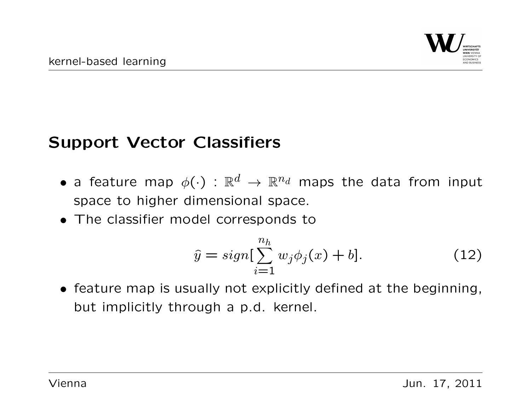#### Support Vector Classifiers

- a feature map  $\phi(\cdot)$  :  $\mathbb{R}^d \to \mathbb{R}^{n_d}$  maps the data from input space to higher dimensional space.
- The classifier model corresponds to

$$
\hat{y} = sign[\sum_{i=1}^{n_h} w_j \phi_j(x) + b]. \tag{12}
$$

• feature map is usually not explicitly defined at the beginning, but implicitly through a p.d. kernel.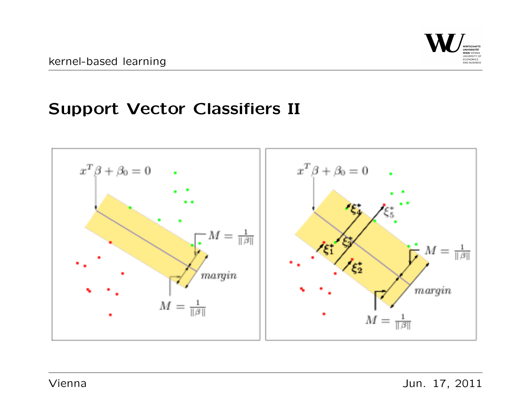#### Support Vector Classifiers II

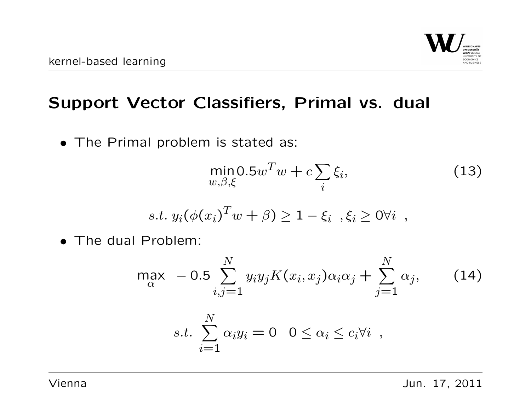

#### Support Vector Classifiers, Primal vs. dual

• The Primal problem is stated as:

$$
\min_{w,\beta,\xi} 0.5w^T w + c \sum_i \xi_i,\tag{13}
$$

s.t. 
$$
y_i(\phi(x_i)^T w + \beta) \ge 1 - \xi_i
$$
,  $\xi_i \ge 0 \forall i$ ,

• The dual Problem:

$$
\max_{\alpha} -0.5 \sum_{i,j=1}^{N} y_i y_j K(x_i, x_j) \alpha_i \alpha_j + \sum_{j=1}^{N} \alpha_j, \qquad (14)
$$
  
s.t. 
$$
\sum_{i=1}^{N} \alpha_i y_i = 0 \quad 0 \le \alpha_i \le c_i \forall i
$$

Vienna Jun. 17, 2011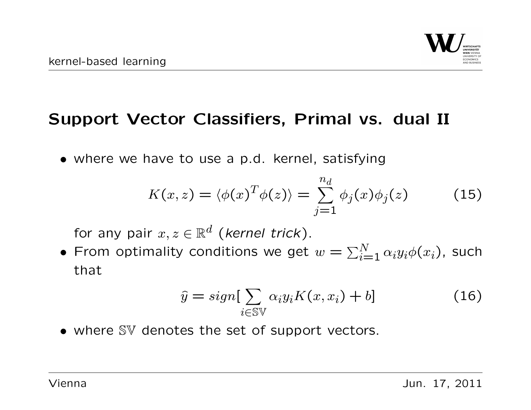

#### Support Vector Classifiers, Primal vs. dual II

• where we have to use a p.d. kernel, satisfying

$$
K(x, z) = \langle \phi(x)^T \phi(z) \rangle = \sum_{j=1}^{n_d} \phi_j(x) \phi_j(z) \tag{15}
$$

for any pair  $x, z \in \mathbb{R}^d$  (kernel trick).

• From optimality conditions we get  $w=\sum_{i=1}^N \alpha_i y_i \phi(x_i)$ , such that

$$
\hat{y} = sign[\sum_{i \in \mathbb{S}\mathbb{V}} \alpha_i y_i K(x, x_i) + b] \tag{16}
$$

• where SV denotes the set of support vectors.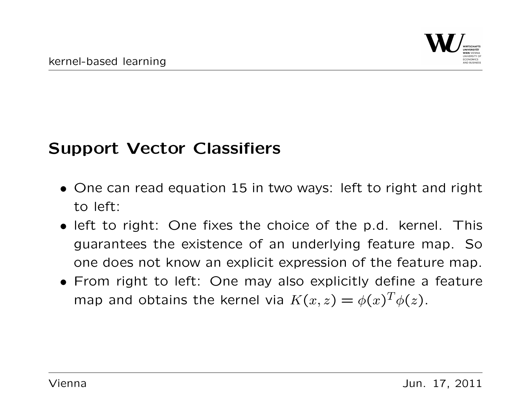#### Support Vector Classifiers

- One can read equation 15 in two ways: left to right and right to left:
- left to right: One fixes the choice of the p.d. kernel. This guarantees the existence of an underlying feature map. So one does not know an explicit expression of the feature map.
- From right to left: One may also explicitly define a feature map and obtains the kernel via  $K(x, z) = \phi(x)^T \phi(z)$ .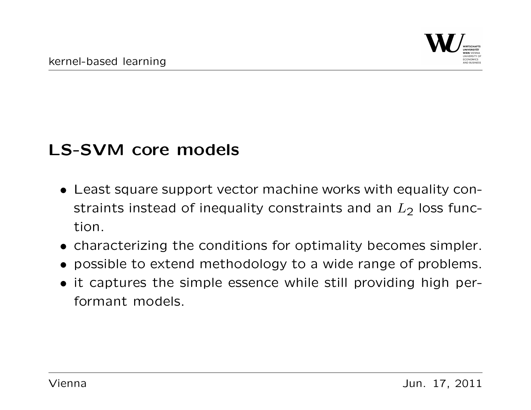## LS-SVM core models

- Least square support vector machine works with equality constraints instead of inequality constraints and an  $L_2$  loss function.
- characterizing the conditions for optimality becomes simpler.
- possible to extend methodology to a wide range of problems.
- it captures the simple essence while still providing high performant models.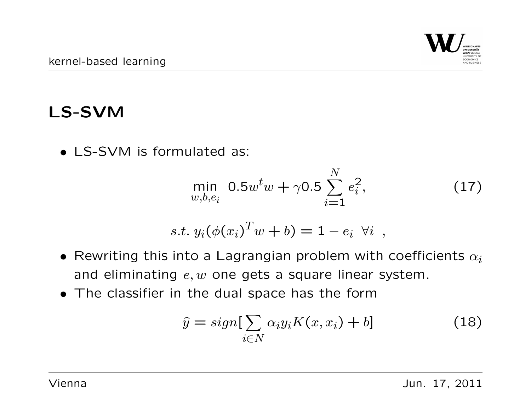## LS-SVM

• LS-SVM is formulated as:

$$
\min_{w,b,e_i} 0.5w^t w + \gamma 0.5 \sum_{i=1}^N e_i^2, \tag{17}
$$

$$
s.t. y_i(\phi(x_i)^T w + b) = 1 - e_i \ \forall i ,
$$

- Rewriting this into a Lagrangian problem with coefficients  $\alpha_i$ and eliminating  $e, w$  one gets a square linear system.
- The classifier in the dual space has the form

$$
\hat{y} = sign[\sum_{i \in N} \alpha_i y_i K(x, x_i) + b]
$$
\n(18)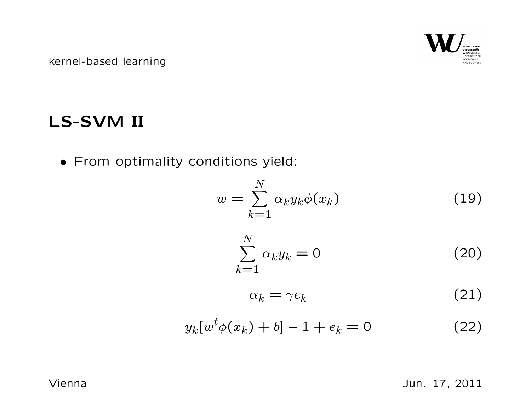## LS-SVM II

• From optimality conditions yield:

$$
w = \sum_{k=1}^{N} \alpha_k y_k \phi(x_k)
$$
 (19)

$$
\sum_{k=1}^{N} \alpha_k y_k = 0 \tag{20}
$$

$$
\alpha_k = \gamma e_k \tag{21}
$$

$$
y_k[w^t \phi(x_k) + b] - 1 + e_k = 0 \tag{22}
$$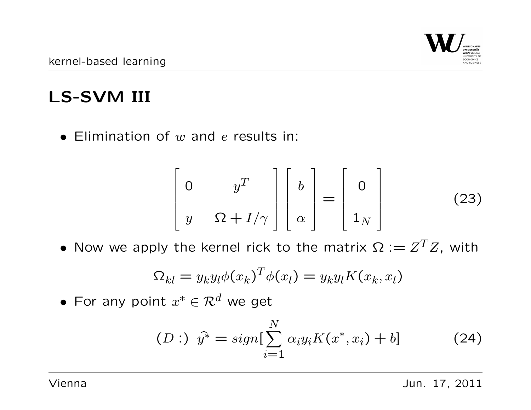

# LS-SVM III

• Elimination of  $w$  and  $e$  results in:

$$
\left[\begin{array}{c|c} 0 & y^T \\ y & \Omega + I/\gamma \end{array}\right] \left[\begin{array}{c} b \\ \alpha \end{array}\right] = \left[\begin{array}{c} 0 \\ 1_N \end{array}\right] \tag{23}
$$

• Now we apply the kernel rick to the matrix  $\Omega := Z^T Z$ , with

$$
\Omega_{kl} = y_k y_l \phi(x_k)^T \phi(x_l) = y_k y_l K(x_k, x_l)
$$

• For any point  $x^* \in \mathcal{R}^d$  we get

$$
(D: ) \ \hat{y^*} = sign[\sum_{i=1}^N \alpha_i y_i K(x^*, x_i) + b] \tag{24}
$$

Vienna Jun. 17, 2011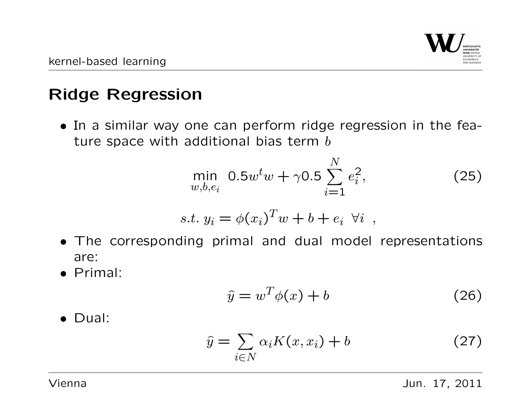

## Ridge Regression

• In a similar way one can perform ridge regression in the feature space with additional bias term  $b$ 

$$
\min_{w,b,e_i} 0.5w^t w + \gamma 0.5 \sum_{i=1}^N e_i^2, \tag{25}
$$

$$
s.t. y_i = \phi(x_i)^T w + b + e_i \ \forall i ,
$$

- The corresponding primal and dual model representations are:
- Primal:

$$
\hat{y} = w^T \phi(x) + b \tag{26}
$$

• Dual:

$$
\hat{y} = \sum_{i \in N} \alpha_i K(x, x_i) + b \tag{27}
$$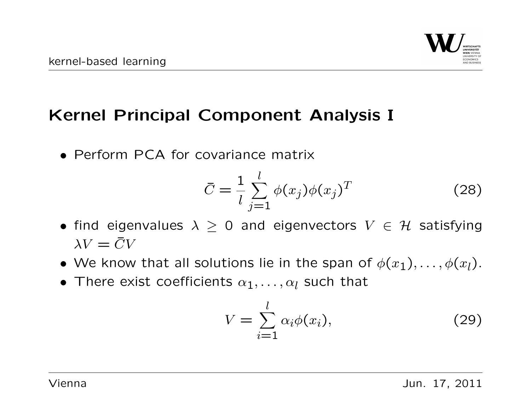

## Kernel Principal Component Analysis I

• Perform PCA for covariance matrix

$$
\bar{C} = \frac{1}{l} \sum_{j=1}^{l} \phi(x_j) \phi(x_j)^T
$$
\n(28)

- find eigenvalues  $\lambda \geq 0$  and eigenvectors  $V \in \mathcal{H}$  satisfying  $\lambda V = \bar{C}V$
- We know that all solutions lie in the span of  $\phi(x_1), \ldots, \phi(x_l)$ .
- There exist coefficients  $\alpha_1, \ldots, \alpha_l$  such that

$$
V = \sum_{i=1}^{l} \alpha_i \phi(x_i), \qquad (29)
$$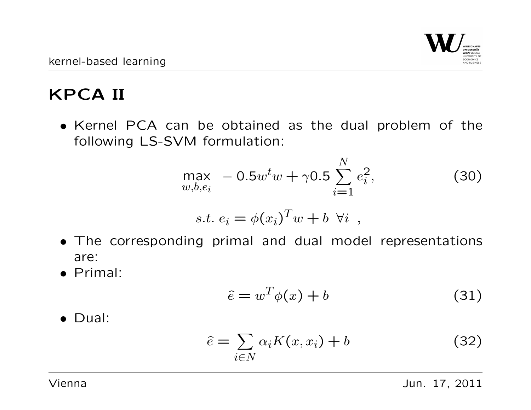# KPCA II

• Kernel PCA can be obtained as the dual problem of the following LS-SVM formulation:

$$
\max_{w,b,e_i} -0.5w^t w + \gamma 0.5 \sum_{i=1}^N e_i^2, \qquad (30)
$$

 $\sim$ 

$$
s.t. e_i = \phi(x_i)^T w + b \ \forall i ,
$$

- The corresponding primal and dual model representations are:
- Primal:

$$
\hat{e} = w^T \phi(x) + b \tag{31}
$$

• Dual:

$$
\hat{e} = \sum_{i \in N} \alpha_i K(x, x_i) + b \tag{32}
$$

Vienna Jun. 17, 2011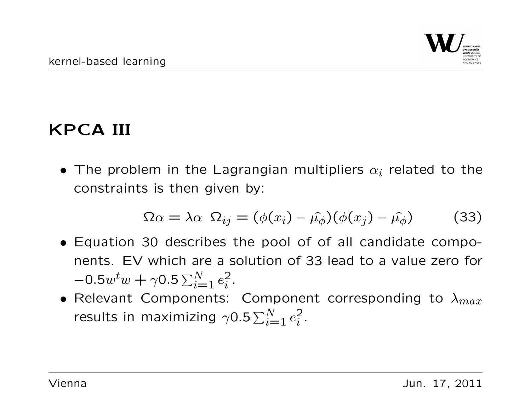# KPCA III

• The problem in the Lagrangian multipliers  $\alpha_i$  related to the constraints is then given by:

$$
\Omega \alpha = \lambda \alpha \ \Omega_{ij} = (\phi(x_i) - \hat{\mu_{\phi}})(\phi(x_j) - \hat{\mu_{\phi}}) \tag{33}
$$

- Equation 30 describes the pool of of all candidate components. EV which are a solution of 33 lead to a value zero for  $-0.5w^tw + \gamma 0.5 \sum_{i=1}^{N} e_i^2$  $\frac{2}{i}$ .
- Relevant Components: Component corresponding to  $\lambda_{max}$ results in maximizing  $\gamma$ 0.5 $\sum_{i=1}^N e_i^2$  $\frac{2}{i}$ .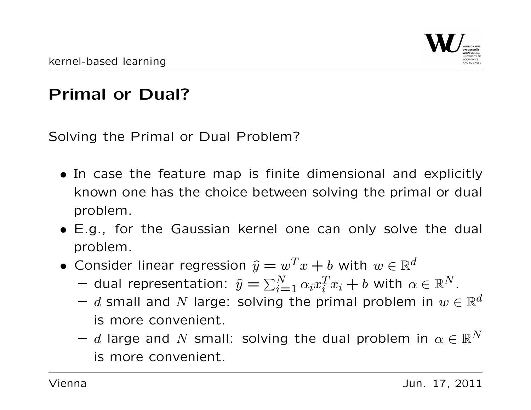# Primal or Dual?

Solving the Primal or Dual Problem?

- In case the feature map is finite dimensional and explicitly known one has the choice between solving the primal or dual problem.
- E.g., for the Gaussian kernel one can only solve the dual problem.
- Consider linear regression  $\widehat{y} = w^T x + b$  with  $w \in \mathbb{R}^d$ 
	- $-$  dual representation:  $\widehat{y} = \sum_{i=1}^N \alpha_i x_i^T$  ${}_{i}^{T}x_{i}+b$  with  $\alpha\in\mathbb{R}^{N}.$
	- $-$  d small and N large: solving the primal problem in  $w \in \mathbb{R}^d$ is more convenient.
	- $-$  d large and N small: solving the dual problem in  $\alpha \in \mathbb{R}^N$ is more convenient.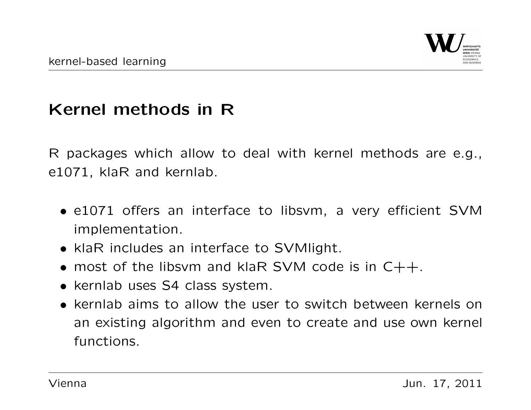## Kernel methods in R

R packages which allow to deal with kernel methods are e.g., e1071, klaR and kernlab.

- e1071 offers an interface to libsvm, a very efficient SVM implementation.
- klaR includes an interface to SVMlight.
- most of the libsvm and klaR SVM code is in  $C++$ .
- kernlab uses S4 class system.
- kernlab aims to allow the user to switch between kernels on an existing algorithm and even to create and use own kernel functions.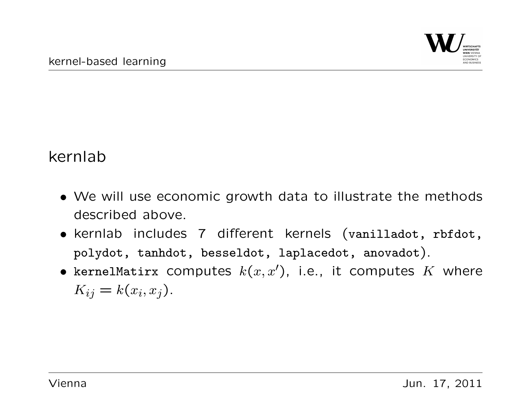#### kernlab

- We will use economic growth data to illustrate the methods described above.
- kernlab includes 7 different kernels (vanilladot, rbfdot, polydot, tanhdot, besseldot, laplacedot, anovadot).
- kernelMatirx computes  $k(x, x')$ , i.e., it computes K where  $K_{ij} = k(x_i, x_j).$